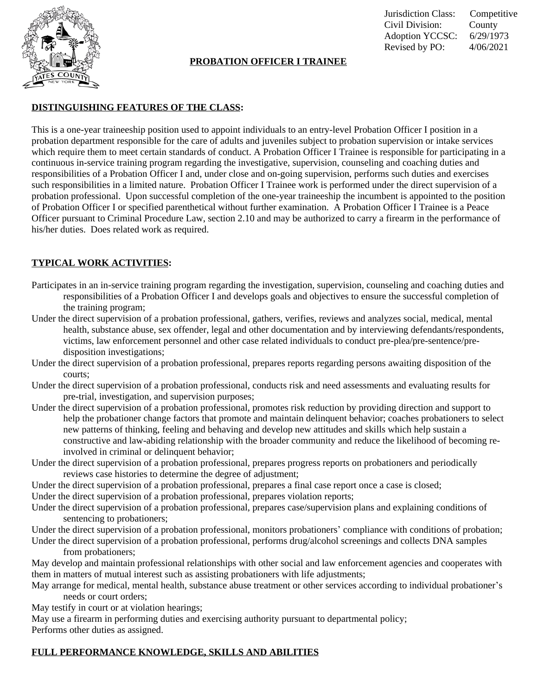

## **PROBATION OFFICER I TRAINEE**

Jurisdiction Class: Competitive Civil Division: County Adoption YCCSC: 6/29/1973 Revised by PO: 4/06/2021

#### **DISTINGUISHING FEATURES OF THE CLASS:**

This is a one-year traineeship position used to appoint individuals to an entry-level Probation Officer I position in a probation department responsible for the care of adults and juveniles subject to probation supervision or intake services which require them to meet certain standards of conduct. A Probation Officer I Trainee is responsible for participating in a continuous in-service training program regarding the investigative, supervision, counseling and coaching duties and responsibilities of a Probation Officer I and, under close and on-going supervision, performs such duties and exercises such responsibilities in a limited nature. Probation Officer I Trainee work is performed under the direct supervision of a probation professional. Upon successful completion of the one-year traineeship the incumbent is appointed to the position of Probation Officer I or specified parenthetical without further examination. A Probation Officer I Trainee is a Peace Officer pursuant to Criminal Procedure Law, section 2.10 and may be authorized to carry a firearm in the performance of his/her duties. Does related work as required.

# **TYPICAL WORK ACTIVITIES:**

- Participates in an in-service training program regarding the investigation, supervision, counseling and coaching duties and responsibilities of a Probation Officer I and develops goals and objectives to ensure the successful completion of the training program;
- Under the direct supervision of a probation professional, gathers, verifies, reviews and analyzes social, medical, mental health, substance abuse, sex offender, legal and other documentation and by interviewing defendants/respondents, victims, law enforcement personnel and other case related individuals to conduct pre-plea/pre-sentence/predisposition investigations;
- Under the direct supervision of a probation professional, prepares reports regarding persons awaiting disposition of the courts;
- Under the direct supervision of a probation professional, conducts risk and need assessments and evaluating results for pre-trial, investigation, and supervision purposes;
- Under the direct supervision of a probation professional, promotes risk reduction by providing direction and support to help the probationer change factors that promote and maintain delinquent behavior; coaches probationers to select new patterns of thinking, feeling and behaving and develop new attitudes and skills which help sustain a constructive and law-abiding relationship with the broader community and reduce the likelihood of becoming reinvolved in criminal or delinquent behavior;
- Under the direct supervision of a probation professional, prepares progress reports on probationers and periodically reviews case histories to determine the degree of adjustment;
- Under the direct supervision of a probation professional, prepares a final case report once a case is closed; Under the direct supervision of a probation professional, prepares violation reports;
- Under the direct supervision of a probation professional, prepares case/supervision plans and explaining conditions of
- sentencing to probationers;
- Under the direct supervision of a probation professional, monitors probationers' compliance with conditions of probation; Under the direct supervision of a probation professional, performs drug/alcohol screenings and collects DNA samples
	- from probationers;
- May develop and maintain professional relationships with other social and law enforcement agencies and cooperates with them in matters of mutual interest such as assisting probationers with life adjustments;
- May arrange for medical, mental health, substance abuse treatment or other services according to individual probationer's needs or court orders;

May testify in court or at violation hearings;

May use a firearm in performing duties and exercising authority pursuant to departmental policy; Performs other duties as assigned.

## **FULL PERFORMANCE KNOWLEDGE, SKILLS AND ABILITIES**